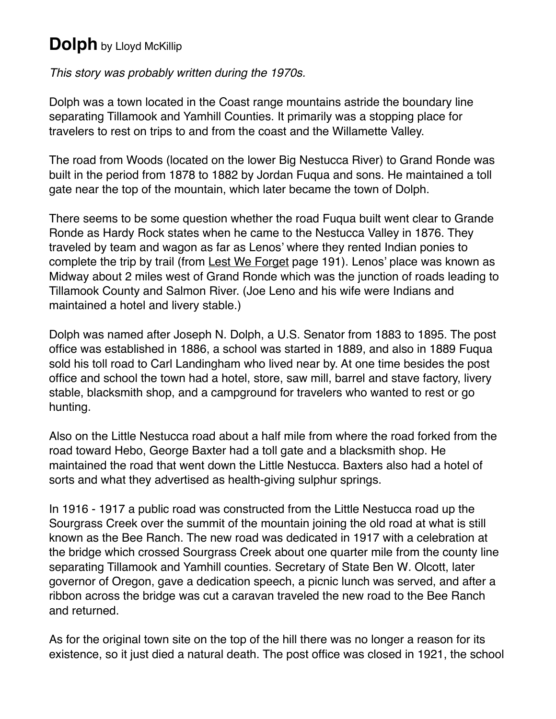## **Dolph** by Lloyd McKillip

*This story was probably written during the 1970s.*

Dolph was a town located in the Coast range mountains astride the boundary line separating Tillamook and Yamhill Counties. It primarily was a stopping place for travelers to rest on trips to and from the coast and the Willamette Valley.

The road from Woods (located on the lower Big Nestucca River) to Grand Ronde was built in the period from 1878 to 1882 by Jordan Fuqua and sons. He maintained a toll gate near the top of the mountain, which later became the town of Dolph.

There seems to be some question whether the road Fuqua built went clear to Grande Ronde as Hardy Rock states when he came to the Nestucca Valley in 1876. They traveled by team and wagon as far as Lenos' where they rented Indian ponies to complete the trip by trail (from Lest We Forget page 191). Lenos' place was known as Midway about 2 miles west of Grand Ronde which was the junction of roads leading to Tillamook County and Salmon River. (Joe Leno and his wife were Indians and maintained a hotel and livery stable.)

Dolph was named after Joseph N. Dolph, a U.S. Senator from 1883 to 1895. The post office was established in 1886, a school was started in 1889, and also in 1889 Fuqua sold his toll road to Carl Landingham who lived near by. At one time besides the post office and school the town had a hotel, store, saw mill, barrel and stave factory, livery stable, blacksmith shop, and a campground for travelers who wanted to rest or go hunting.

Also on the Little Nestucca road about a half mile from where the road forked from the road toward Hebo, George Baxter had a toll gate and a blacksmith shop. He maintained the road that went down the Little Nestucca. Baxters also had a hotel of sorts and what they advertised as health-giving sulphur springs.

In 1916 - 1917 a public road was constructed from the Little Nestucca road up the Sourgrass Creek over the summit of the mountain joining the old road at what is still known as the Bee Ranch. The new road was dedicated in 1917 with a celebration at the bridge which crossed Sourgrass Creek about one quarter mile from the county line separating Tillamook and Yamhill counties. Secretary of State Ben W*.* Olcott, later governor of Oregon, gave a dedication speech, a picnic lunch was served, and after a ribbon across the bridge was cut a caravan traveled the new road to the Bee Ranch and returned.

As for the original town site on the top of the hill there was no longer a reason for its existence, so it just died a natural death. The post office was closed in 1921, the school